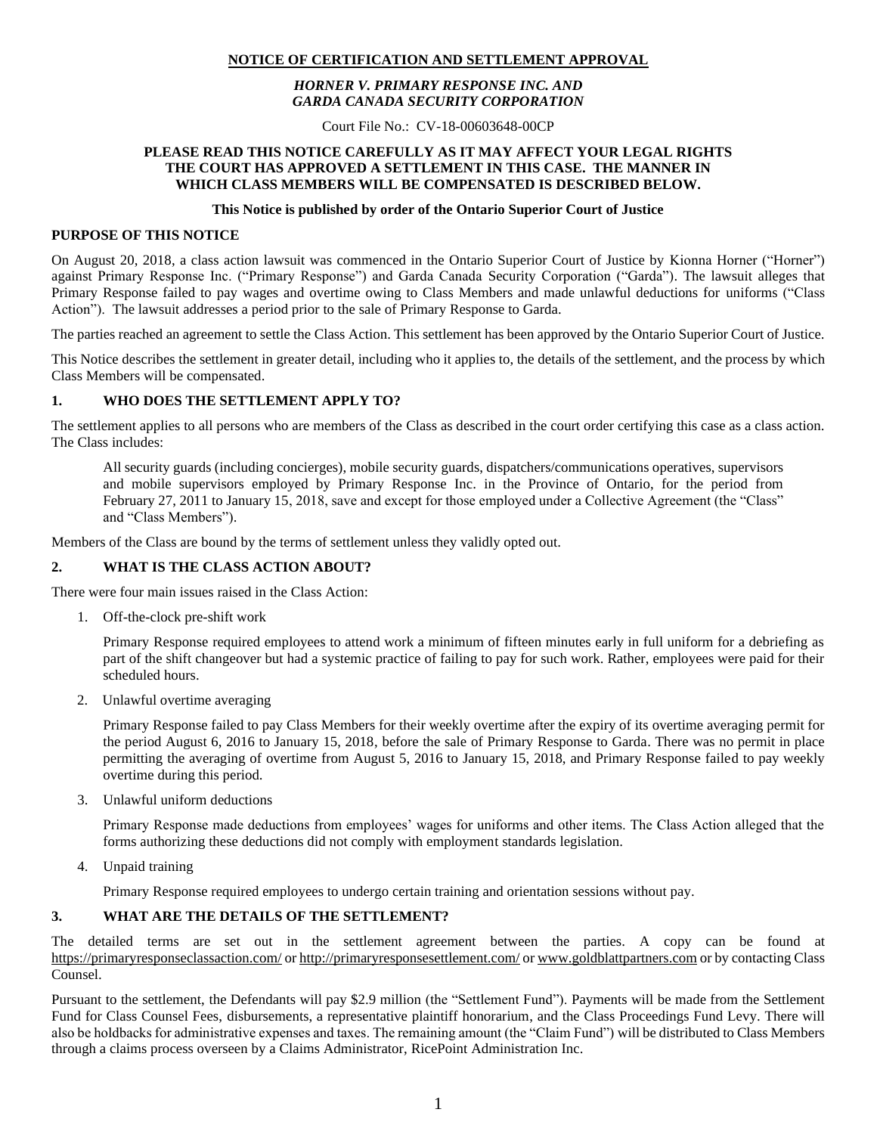# **NOTICE OF CERTIFICATION AND SETTLEMENT APPROVAL**

# *HORNER V. PRIMARY RESPONSE INC. AND GARDA CANADA SECURITY CORPORATION*

Court File No.: CV-18-00603648-00CP

# **PLEASE READ THIS NOTICE CAREFULLY AS IT MAY AFFECT YOUR LEGAL RIGHTS THE COURT HAS APPROVED A SETTLEMENT IN THIS CASE. THE MANNER IN WHICH CLASS MEMBERS WILL BE COMPENSATED IS DESCRIBED BELOW.**

#### **This Notice is published by order of the Ontario Superior Court of Justice**

#### **PURPOSE OF THIS NOTICE**

On August 20, 2018, a class action lawsuit was commenced in the Ontario Superior Court of Justice by Kionna Horner ("Horner") against Primary Response Inc. ("Primary Response") and Garda Canada Security Corporation ("Garda"). The lawsuit alleges that Primary Response failed to pay wages and overtime owing to Class Members and made unlawful deductions for uniforms ("Class Action"). The lawsuit addresses a period prior to the sale of Primary Response to Garda.

The parties reached an agreement to settle the Class Action. This settlement has been approved by the Ontario Superior Court of Justice.

This Notice describes the settlement in greater detail, including who it applies to, the details of the settlement, and the process by which Class Members will be compensated.

# **1. WHO DOES THE SETTLEMENT APPLY TO?**

The settlement applies to all persons who are members of the Class as described in the court order certifying this case as a class action. The Class includes:

All security guards (including concierges), mobile security guards, dispatchers/communications operatives, supervisors and mobile supervisors employed by Primary Response Inc. in the Province of Ontario, for the period from February 27, 2011 to January 15, 2018, save and except for those employed under a Collective Agreement (the "Class" and "Class Members").

Members of the Class are bound by the terms of settlement unless they validly opted out.

# **2. WHAT IS THE CLASS ACTION ABOUT?**

There were four main issues raised in the Class Action:

1. Off-the-clock pre-shift work

Primary Response required employees to attend work a minimum of fifteen minutes early in full uniform for a debriefing as part of the shift changeover but had a systemic practice of failing to pay for such work. Rather, employees were paid for their scheduled hours.

2. Unlawful overtime averaging

Primary Response failed to pay Class Members for their weekly overtime after the expiry of its overtime averaging permit for the period August 6, 2016 to January 15, 2018, before the sale of Primary Response to Garda. There was no permit in place permitting the averaging of overtime from August 5, 2016 to January 15, 2018, and Primary Response failed to pay weekly overtime during this period.

3. Unlawful uniform deductions

Primary Response made deductions from employees' wages for uniforms and other items. The Class Action alleged that the forms authorizing these deductions did not comply with employment standards legislation.

4. Unpaid training

Primary Response required employees to undergo certain training and orientation sessions without pay.

### **3. WHAT ARE THE DETAILS OF THE SETTLEMENT?**

The detailed terms are set out in the settlement agreement between the parties. A copy can be found at <https://primaryresponseclassaction.com/> o[r http://primaryresponsesettlement.com/](http://primaryresponsesettlement.com/) o[r www.goldblattpartners.com](http://www.goldblattpartners.com/) or by contacting Class Counsel.

Pursuant to the settlement, the Defendants will pay \$2.9 million (the "Settlement Fund"). Payments will be made from the Settlement Fund for Class Counsel Fees, disbursements, a representative plaintiff honorarium, and the Class Proceedings Fund Levy. There will also be holdbacks for administrative expenses and taxes. The remaining amount (the "Claim Fund") will be distributed to Class Members through a claims process overseen by a Claims Administrator, RicePoint Administration Inc.